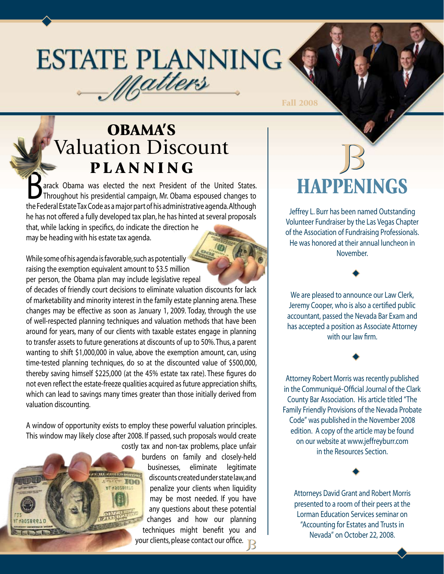# **ESTATE PLANNING** Matters

Fall 2008

### OBAMA'S Valuation Discount P L A N N I N G

arack Obama was elected the next President of the United States. Throughout his presidential campaign, Mr. Obama espoused changes to the Federal Estate Tax Code as a major part of his administrative agenda. Although he has not offered a fully developed tax plan, he has hinted at several proposals that, while lacking in specifics, do indicate the direction he may be heading with his estate tax agenda.

While some of his agenda is favorable, such as potentially raising the exemption equivalent amount to \$3.5 million per person, the Obama plan may include legislative repeal

of decades of friendly court decisions to eliminate valuation discounts for lack of marketability and minority interest in the family estate planning arena. These changes may be effective as soon as January 1, 2009. Today, through the use of well-respected planning techniques and valuation methods that have been around for years, many of our clients with taxable estates engage in planning to transfer assets to future generations at discounts of up to 50%. Thus, a parent wanting to shift \$1,000,000 in value, above the exemption amount, can, using time-tested planning techniques, do so at the discounted value of \$500,000, thereby saving himself \$225,000 (at the 45% estate tax rate). These figures do not even reflect the estate-freeze qualities acquired as future appreciation shifts, which can lead to savings many times greater than those initially derived from valuation discounting.

A window of opportunity exists to employ these powerful valuation principles. This window may likely close after 2008. If passed, such proposals would create costly tax and non-tax problems, place unfair

burdens on family and closely-held businesses, eliminate legitimate discounts created under state law, and penalize your clients when liquidity may be most needed. If you have any questions about these potential changes and how our planning techniques might benefit you and your clients, please contact our office.

# HAPPENINGS

Jeffrey L. Burr has been named Outstanding Volunteer Fundraiser by the Las Vegas Chapter of the Association of Fundraising Professionals. He was honored at their annual luncheon in November.

We are pleased to announce our Law Clerk, Jeremy Cooper, who is also a certified public accountant, passed the Nevada Bar Exam and has accepted a position as Associate Attorney with our law firm.

 $\blacklozenge$ 

 $\blacklozenge$ 

Attorney Robert Morris was recently published in the Communiqué-Official Journal of the Clark County Bar Association. His article titled "The Family Friendly Provisions of the Nevada Probate Code" was published in the November 2008 edition. A copy of the article may be found on our website at www.jeffreyburr.com in the Resources Section.

Attorneys David Grant and Robert Morris presented to a room of their peers at the Lorman Education Services seminar on "Accounting for Estates and Trusts in Nevada" on October 22, 2008.

 $\blacklozenge$